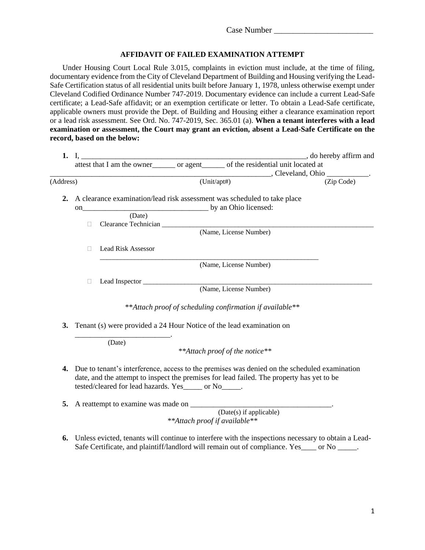## **AFFIDAVIT OF FAILED EXAMINATION ATTEMPT**

Under Housing Court Local Rule 3.015, complaints in eviction must include, at the time of filing, documentary evidence from the City of Cleveland Department of Building and Housing verifying the Lead-Safe Certification status of all residential units built before January 1, 1978, unless otherwise exempt under Cleveland Codified Ordinance Number 747-2019. Documentary evidence can include a current Lead-Safe certificate; a Lead-Safe affidavit; or an exemption certificate or letter. To obtain a Lead-Safe certificate, applicable owners must provide the Dept. of Building and Housing either a clearance examination report or a lead risk assessment. See Ord. No. 747-2019, Sec. 365.01 (a). **When a tenant interferes with a lead examination or assessment, the Court may grant an eviction, absent a Lead-Safe Certificate on the record, based on the below:**

|           |                                                                                    |                           |             | attest that I am the owner_______ or agent______ of the residential unit located at |  |
|-----------|------------------------------------------------------------------------------------|---------------------------|-------------|-------------------------------------------------------------------------------------|--|
| (Address) |                                                                                    |                           | (Unit/apt#) | (Zip Code)                                                                          |  |
| 2.        | A clearance examination/lead risk assessment was scheduled to take place<br>(Date) |                           |             |                                                                                     |  |
|           | $\Box$                                                                             |                           |             |                                                                                     |  |
|           |                                                                                    | (Name, License Number)    |             |                                                                                     |  |
|           |                                                                                    | <b>Lead Risk Assessor</b> |             |                                                                                     |  |
|           | (Name, License Number)                                                             |                           |             |                                                                                     |  |
|           |                                                                                    |                           |             |                                                                                     |  |
|           |                                                                                    |                           |             | (Name, License Number)                                                              |  |
|           |                                                                                    |                           |             | **Attach proof of scheduling confirmation if available**                            |  |
| 3.        |                                                                                    |                           |             | Tenant (s) were provided a 24 Hour Notice of the lead examination on                |  |
|           |                                                                                    | (Date)                    |             | **Attach proof of the notice**                                                      |  |
|           |                                                                                    |                           |             |                                                                                     |  |

**4.** Due to tenant's interference, access to the premises was denied on the scheduled examination date, and the attempt to inspect the premises for lead failed. The property has yet to be tested/cleared for lead hazards. Yes\_\_\_\_\_ or No\_\_\_\_\_.

**5.** A reattempt to examine was made on \_\_\_\_\_\_\_\_\_\_\_\_\_\_\_\_\_\_\_\_\_\_\_\_\_\_\_\_\_\_\_\_\_\_\_\_\_. (Date(s) if applicable) *\*\*Attach proof if available\*\**

**6.** Unless evicted, tenants will continue to interfere with the inspections necessary to obtain a Lead-Safe Certificate, and plaintiff/landlord will remain out of compliance. Yes\_\_\_\_ or No \_\_\_\_\_.